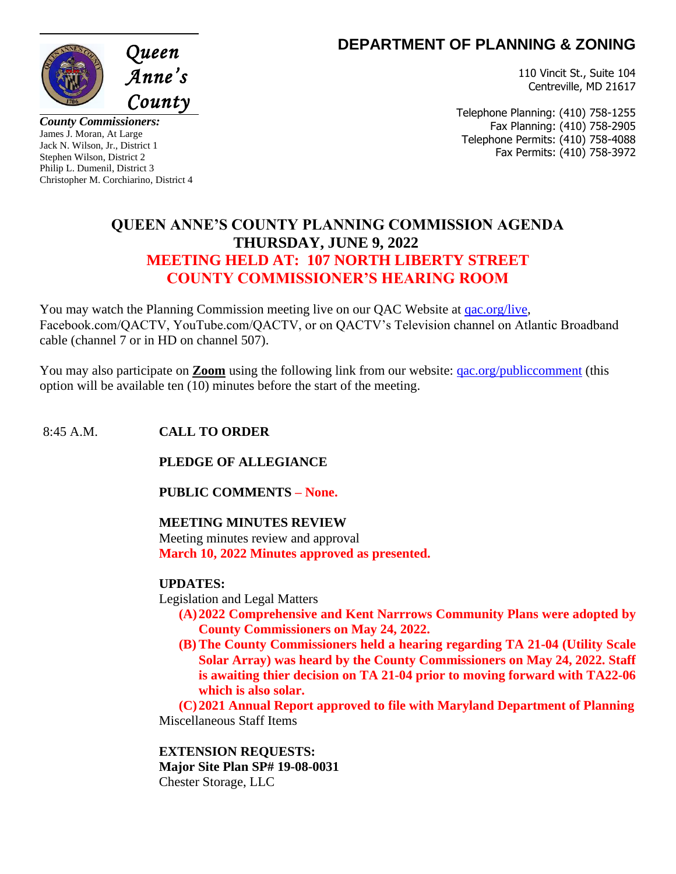

**DEPARTMENT OF PLANNING & ZONING** 

110 Vincit St., Suite 104 Centreville, MD 21617

*County Commissioners:* James J. Moran, At Large Jack N. Wilson, Jr., District 1 Stephen Wilson, District 2 Philip L. Dumenil, District 3 Christopher M. Corchiarino, District 4 Telephone Planning: (410) 758-1255 Fax Planning: (410) 758-2905 Telephone Permits: (410) 758-4088 Fax Permits: (410) 758-3972

# **QUEEN ANNE'S COUNTY PLANNING COMMISSION AGENDA THURSDAY, JUNE 9, 2022 MEETING HELD AT: 107 NORTH LIBERTY STREET COUNTY COMMISSIONER'S HEARING ROOM**

You may watch the Planning Commission meeting live on our QAC Website at [qac.org/live,](https://qac.org/410/QACTVCOM) Facebook.com/QACTV, YouTube.com/QACTV, or on QACTV's Television channel on Atlantic Broadband cable (channel 7 or in HD on channel 507).

You may also participate on **Zoom** using the following link from our website: [qac.org/publiccomment](http://www.qac.org/publiccomment) (this option will be available ten (10) minutes before the start of the meeting.

## 8:45 A.M. **CALL TO ORDER**

**PLEDGE OF ALLEGIANCE**

**PUBLIC COMMENTS – None.**

## **MEETING MINUTES REVIEW**

Meeting minutes review and approval **March 10, 2022 Minutes approved as presented.**

## **UPDATES:**

Legislation and Legal Matters

- **(A)2022 Comprehensive and Kent Narrrows Community Plans were adopted by County Commissioners on May 24, 2022.**
- **(B) The County Commissioners held a hearing regarding TA 21-04 (Utility Scale Solar Array) was heard by the County Commissioners on May 24, 2022. Staff is awaiting thier decision on TA 21-04 prior to moving forward with TA22-06 which is also solar.**

**(C)2021 Annual Report approved to file with Maryland Department of Planning** Miscellaneous Staff Items

**EXTENSION REQUESTS: Major Site Plan SP# 19-08-0031** Chester Storage, LLC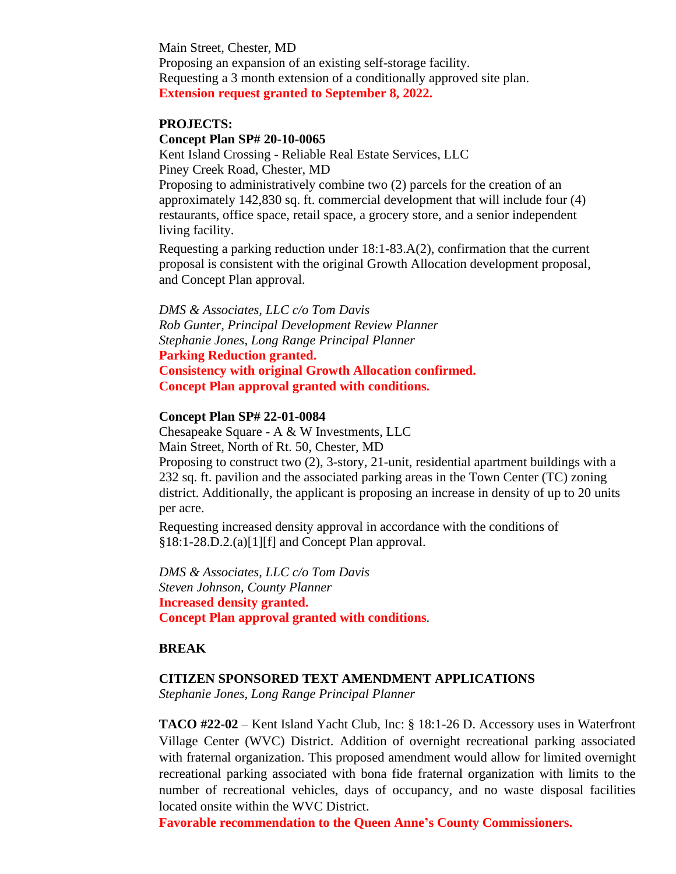Main Street, Chester, MD Proposing an expansion of an existing self-storage facility. Requesting a 3 month extension of a conditionally approved site plan. **Extension request granted to September 8, 2022.**

#### **PROJECTS:**

#### **Concept Plan SP# 20-10-0065**

Kent Island Crossing - Reliable Real Estate Services, LLC Piney Creek Road, Chester, MD

Proposing to administratively combine two (2) parcels for the creation of an approximately 142,830 sq. ft. commercial development that will include four (4) restaurants, office space, retail space, a grocery store, and a senior independent living facility.

Requesting a parking reduction under 18:1-83.A(2), confirmation that the current proposal is consistent with the original Growth Allocation development proposal, and Concept Plan approval.

*DMS & Associates, LLC c/o Tom Davis Rob Gunter, Principal Development Review Planner Stephanie Jones, Long Range Principal Planner* **Parking Reduction granted. Consistency with original Growth Allocation confirmed. Concept Plan approval granted with conditions.**

#### **Concept Plan SP# 22-01-0084**

Chesapeake Square - A & W Investments, LLC Main Street, North of Rt. 50, Chester, MD Proposing to construct two (2), 3-story, 21-unit, residential apartment buildings with a 232 sq. ft. pavilion and the associated parking areas in the Town Center (TC) zoning district. Additionally, the applicant is proposing an increase in density of up to 20 units per acre.

Requesting increased density approval in accordance with the conditions of §18:1-28.D.2.(a)[1][f] and Concept Plan approval.

*DMS & Associates, LLC c/o Tom Davis Steven Johnson, County Planner* **Increased density granted. Concept Plan approval granted with conditions**.

### **BREAK**

#### **CITIZEN SPONSORED TEXT AMENDMENT APPLICATIONS**

*Stephanie Jones, Long Range Principal Planner*

**TACO #22-02** – Kent Island Yacht Club, Inc: § 18:1-26 D. Accessory uses in Waterfront Village Center (WVC) District. Addition of overnight recreational parking associated with fraternal organization. This proposed amendment would allow for limited overnight recreational parking associated with bona fide fraternal organization with limits to the number of recreational vehicles, days of occupancy, and no waste disposal facilities located onsite within the WVC District.

**Favorable recommendation to the Queen Anne's County Commissioners.**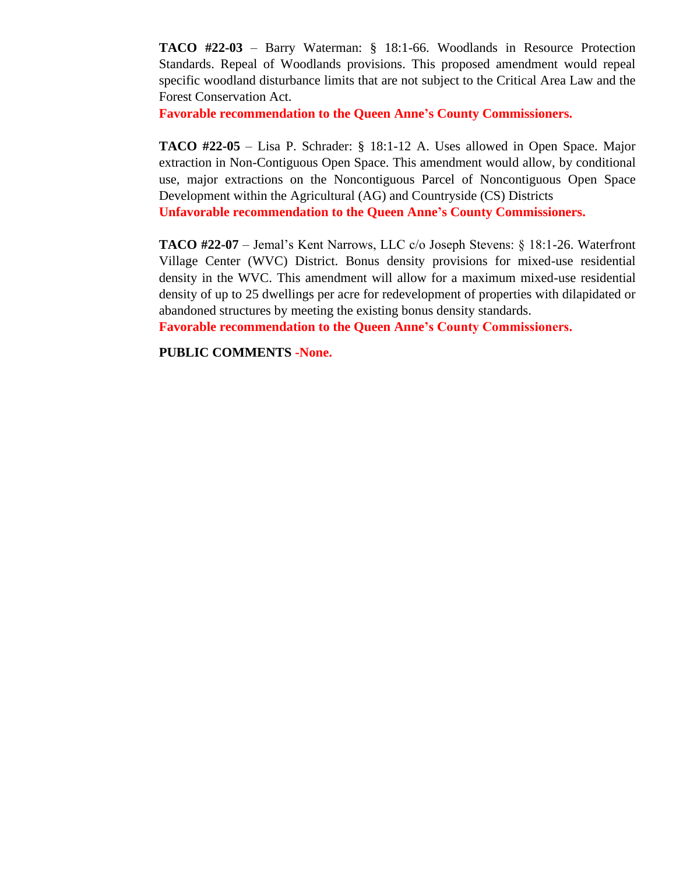**TACO #22-03** – Barry Waterman: § 18:1-66. Woodlands in Resource Protection Standards. Repeal of Woodlands provisions. This proposed amendment would repeal specific woodland disturbance limits that are not subject to the Critical Area Law and the Forest Conservation Act.

**Favorable recommendation to the Queen Anne's County Commissioners.**

**TACO #22-05** – Lisa P. Schrader: § 18:1-12 A. Uses allowed in Open Space. Major extraction in Non-Contiguous Open Space. This amendment would allow, by conditional use, major extractions on the Noncontiguous Parcel of Noncontiguous Open Space Development within the Agricultural (AG) and Countryside (CS) Districts **Unfavorable recommendation to the Queen Anne's County Commissioners.**

**TACO #22-07** – Jemal's Kent Narrows, LLC c/o Joseph Stevens: § 18:1-26. Waterfront Village Center (WVC) District. Bonus density provisions for mixed-use residential density in the WVC. This amendment will allow for a maximum mixed-use residential density of up to 25 dwellings per acre for redevelopment of properties with dilapidated or abandoned structures by meeting the existing bonus density standards.

**Favorable recommendation to the Queen Anne's County Commissioners.**

**PUBLIC COMMENTS -None.**